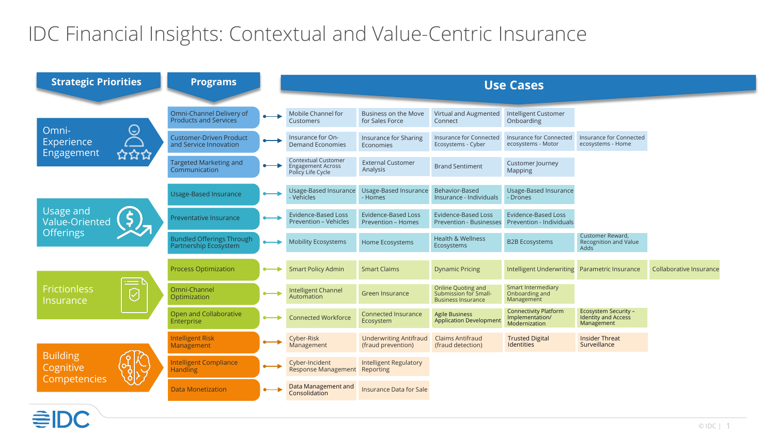## IDC Financial Insights: Contextual and Value-Centric Insurance